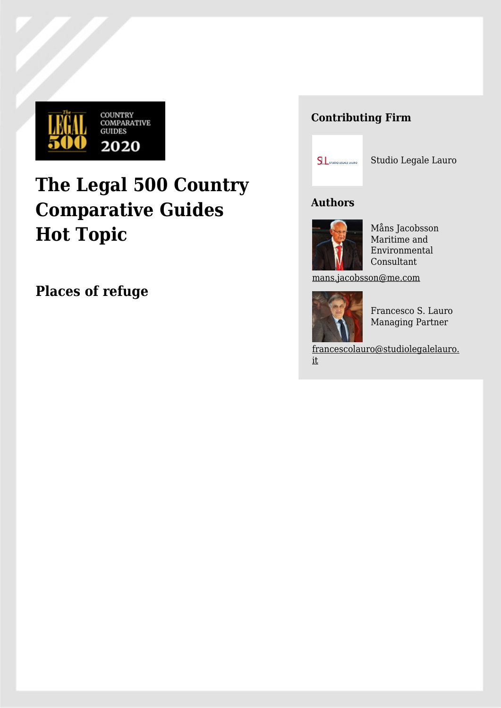

# **The Legal 500 Country Comparative Guides Hot Topic**

**Places of refuge**

# **Contributing Firm**



Studio Legale Lauro

# **Authors**



Måns Jacobsson Maritime and Environmental Consultant

[mans.jacobsson@me.com](mailto:mans.jacobsson@me.com)



Francesco S. Lauro Managing Partner

[francescolauro@studiolegalelauro.](mailto:francescolauro@studiolegalelauro.it) [it](mailto:francescolauro@studiolegalelauro.it)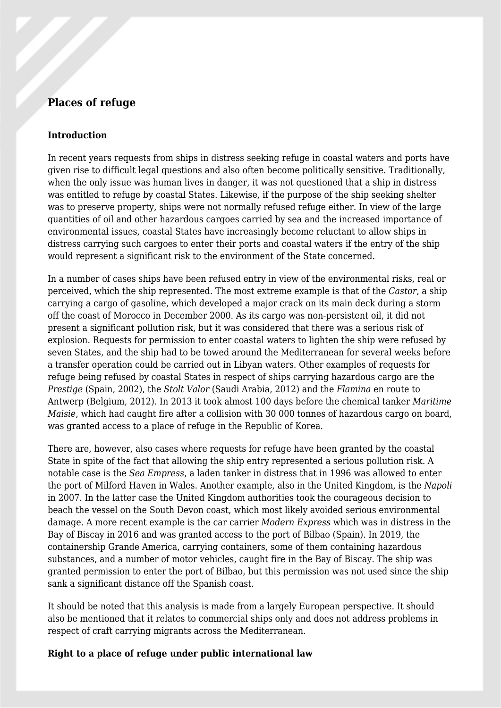# **Places of refuge**

#### **Introduction**

In recent years requests from ships in distress seeking refuge in coastal waters and ports have given rise to difficult legal questions and also often become politically sensitive. Traditionally, when the only issue was human lives in danger, it was not questioned that a ship in distress was entitled to refuge by coastal States. Likewise, if the purpose of the ship seeking shelter was to preserve property, ships were not normally refused refuge either. In view of the large quantities of oil and other hazardous cargoes carried by sea and the increased importance of environmental issues, coastal States have increasingly become reluctant to allow ships in distress carrying such cargoes to enter their ports and coastal waters if the entry of the ship would represent a significant risk to the environment of the State concerned.

In a number of cases ships have been refused entry in view of the environmental risks, real or perceived, which the ship represented. The most extreme example is that of the *Castor*, a ship carrying a cargo of gasoline, which developed a major crack on its main deck during a storm off the coast of Morocco in December 2000. As its cargo was non-persistent oil, it did not present a significant pollution risk, but it was considered that there was a serious risk of explosion. Requests for permission to enter coastal waters to lighten the ship were refused by seven States, and the ship had to be towed around the Mediterranean for several weeks before a transfer operation could be carried out in Libyan waters. Other examples of requests for refuge being refused by coastal States in respect of ships carrying hazardous cargo are the *Prestige* (Spain, 2002), the *Stolt Valor* (Saudi Arabia, 2012) and the *Flamina* en route to Antwerp (Belgium, 2012). In 2013 it took almost 100 days before the chemical tanker *Maritime Maisie*, which had caught fire after a collision with 30 000 tonnes of hazardous cargo on board, was granted access to a place of refuge in the Republic of Korea.

There are, however, also cases where requests for refuge have been granted by the coastal State in spite of the fact that allowing the ship entry represented a serious pollution risk. A notable case is the *Sea Empress*, a laden tanker in distress that in 1996 was allowed to enter the port of Milford Haven in Wales. Another example, also in the United Kingdom, is the *Napoli* in 2007. In the latter case the United Kingdom authorities took the courageous decision to beach the vessel on the South Devon coast, which most likely avoided serious environmental damage. A more recent example is the car carrier *Modern Express* which was in distress in the Bay of Biscay in 2016 and was granted access to the port of Bilbao (Spain). In 2019, the containership Grande America, carrying containers, some of them containing hazardous substances, and a number of motor vehicles, caught fire in the Bay of Biscay. The ship was granted permission to enter the port of Bilbao, but this permission was not used since the ship sank a significant distance off the Spanish coast.

It should be noted that this analysis is made from a largely European perspective. It should also be mentioned that it relates to commercial ships only and does not address problems in respect of craft carrying migrants across the Mediterranean.

## **Right to a place of refuge under public international law**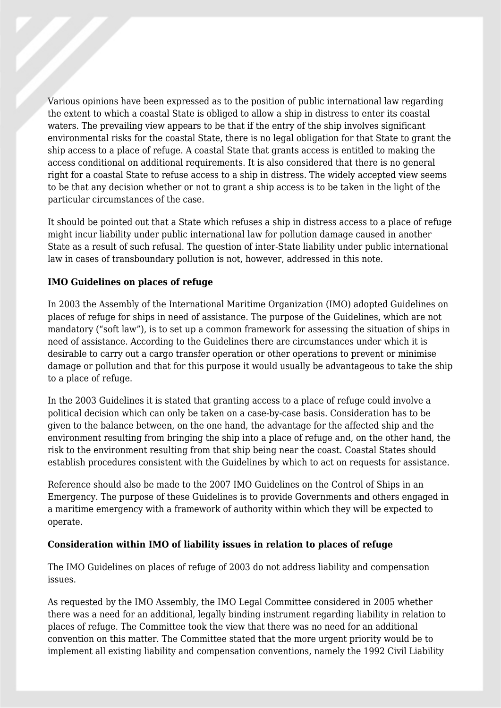Various opinions have been expressed as to the position of public international law regarding the extent to which a coastal State is obliged to allow a ship in distress to enter its coastal waters. The prevailing view appears to be that if the entry of the ship involves significant environmental risks for the coastal State, there is no legal obligation for that State to grant the ship access to a place of refuge. A coastal State that grants access is entitled to making the access conditional on additional requirements. It is also considered that there is no general right for a coastal State to refuse access to a ship in distress. The widely accepted view seems to be that any decision whether or not to grant a ship access is to be taken in the light of the particular circumstances of the case.

It should be pointed out that a State which refuses a ship in distress access to a place of refuge might incur liability under public international law for pollution damage caused in another State as a result of such refusal. The question of inter-State liability under public international law in cases of transboundary pollution is not, however, addressed in this note.

#### **IMO Guidelines on places of refuge**

In 2003 the Assembly of the International Maritime Organization (IMO) adopted Guidelines on places of refuge for ships in need of assistance. The purpose of the Guidelines, which are not mandatory ("soft law"), is to set up a common framework for assessing the situation of ships in need of assistance. According to the Guidelines there are circumstances under which it is desirable to carry out a cargo transfer operation or other operations to prevent or minimise damage or pollution and that for this purpose it would usually be advantageous to take the ship to a place of refuge.

In the 2003 Guidelines it is stated that granting access to a place of refuge could involve a political decision which can only be taken on a case-by-case basis. Consideration has to be given to the balance between, on the one hand, the advantage for the affected ship and the environment resulting from bringing the ship into a place of refuge and, on the other hand, the risk to the environment resulting from that ship being near the coast. Coastal States should establish procedures consistent with the Guidelines by which to act on requests for assistance.

Reference should also be made to the 2007 IMO Guidelines on the Control of Ships in an Emergency. The purpose of these Guidelines is to provide Governments and others engaged in a maritime emergency with a framework of authority within which they will be expected to operate.

#### **Consideration within IMO of liability issues in relation to places of refuge**

The IMO Guidelines on places of refuge of 2003 do not address liability and compensation issues.

<span id="page-2-0"></span>As requested by the IMO Assembly, the IMO Legal Committee considered in 2005 whether there was a need for an additional, legally binding instrument regarding liability in relation to places of refuge. The Committee took the view that there was no need for an additional convention on this matter. The Committee stated that the more urgent priority would be to implement all existing liability and compensation conventions, namely the 1992 Civil Liability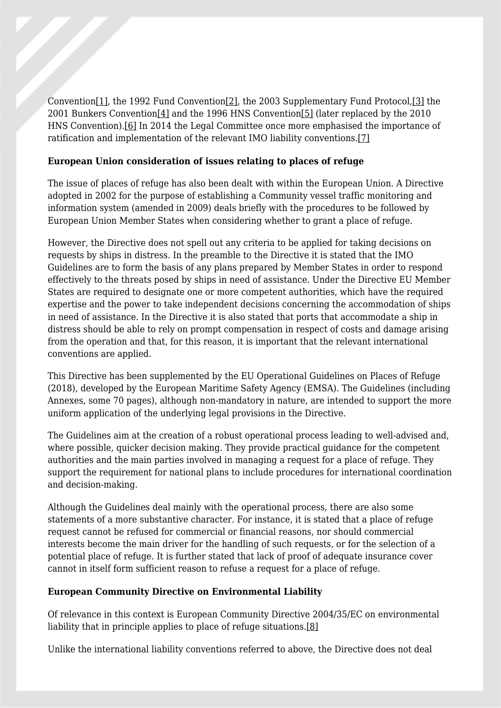<span id="page-3-1"></span><span id="page-3-0"></span>Convention[\[1\],](#page-6-0) the 1992 Fund Conventio[n\[2\]](#page-7-0), the 2003 Supplementary Fund Protocol[,\[3\]](#page-7-1) the 2001 Bunkers Conventio[n\[4\]](#page-7-2) and the 1996 HNS Conventio[n\[5\]](#page-7-3) (later replaced by the 2010 HNS Convention)[.\[6\]](#page-7-4) In 2014 the Legal Committee once more emphasised the importance of ratification and implementation of the relevant IMO liability conventions[.\[7\]](#page-7-5)

## <span id="page-3-2"></span>**European Union consideration of issues relating to places of refuge**

The issue of places of refuge has also been dealt with within the European Union. A Directive adopted in 2002 for the purpose of establishing a Community vessel traffic monitoring and information system (amended in 2009) deals briefly with the procedures to be followed by European Union Member States when considering whether to grant a place of refuge.

However, the Directive does not spell out any criteria to be applied for taking decisions on requests by ships in distress. In the preamble to the Directive it is stated that the IMO Guidelines are to form the basis of any plans prepared by Member States in order to respond effectively to the threats posed by ships in need of assistance. Under the Directive EU Member States are required to designate one or more competent authorities, which have the required expertise and the power to take independent decisions concerning the accommodation of ships in need of assistance. In the Directive it is also stated that ports that accommodate a ship in distress should be able to rely on prompt compensation in respect of costs and damage arising from the operation and that, for this reason, it is important that the relevant international conventions are applied.

This Directive has been supplemented by the EU Operational Guidelines on Places of Refuge (2018), developed by the European Maritime Safety Agency (EMSA). The Guidelines (including Annexes, some 70 pages), although non-mandatory in nature, are intended to support the more uniform application of the underlying legal provisions in the Directive.

The Guidelines aim at the creation of a robust operational process leading to well-advised and, where possible, quicker decision making. They provide practical guidance for the competent authorities and the main parties involved in managing a request for a place of refuge. They support the requirement for national plans to include procedures for international coordination and decision-making.

Although the Guidelines deal mainly with the operational process, there are also some statements of a more substantive character. For instance, it is stated that a place of refuge request cannot be refused for commercial or financial reasons, nor should commercial interests become the main driver for the handling of such requests, or for the selection of a potential place of refuge. It is further stated that lack of proof of adequate insurance cover cannot in itself form sufficient reason to refuse a request for a place of refuge.

## **European Community Directive on Environmental Liability**

<span id="page-3-3"></span>Of relevance in this context is European Community Directive 2004/35/EC on environmental liability that in principle applies to place of refuge situations[.\[8\]](#page-7-6)

Unlike the international liability conventions referred to above, the Directive does not deal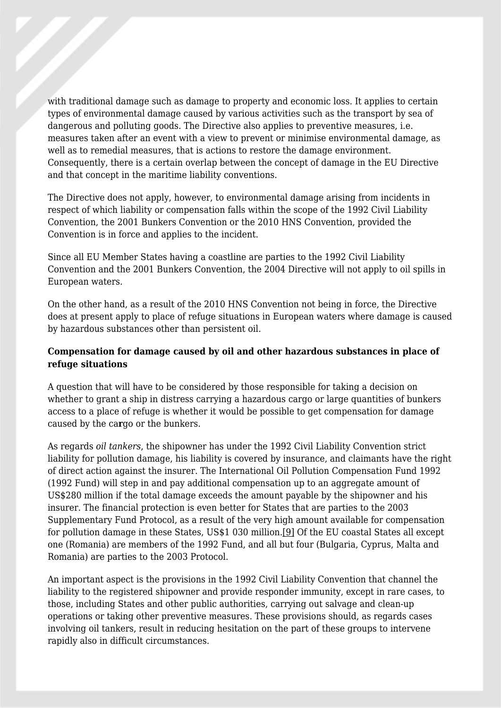with traditional damage such as damage to property and economic loss. It applies to certain types of environmental damage caused by various activities such as the transport by sea of dangerous and polluting goods. The Directive also applies to preventive measures, i.e. measures taken after an event with a view to prevent or minimise environmental damage, as well as to remedial measures, that is actions to restore the damage environment. Consequently, there is a certain overlap between the concept of damage in the EU Directive and that concept in the maritime liability conventions.

The Directive does not apply, however, to environmental damage arising from incidents in respect of which liability or compensation falls within the scope of the 1992 Civil Liability Convention, the 2001 Bunkers Convention or the 2010 HNS Convention, provided the Convention is in force and applies to the incident.

Since all EU Member States having a coastline are parties to the 1992 Civil Liability Convention and the 2001 Bunkers Convention, the 2004 Directive will not apply to oil spills in European waters.

On the other hand, as a result of the 2010 HNS Convention not being in force, the Directive does at present apply to place of refuge situations in European waters where damage is caused by hazardous substances other than persistent oil.

## **Compensation for damage caused by oil and other hazardous substances in place of refuge situations**

A question that will have to be considered by those responsible for taking a decision on whether to grant a ship in distress carrying a hazardous cargo or large quantities of bunkers access to a place of refuge is whether it would be possible to get compensation for damage caused by the ca**r**go or the bunkers.

As regards *oil tankers*, the shipowner has under the 1992 Civil Liability Convention strict liability for pollution damage, his liability is covered by insurance, and claimants have the right of direct action against the insurer. The International Oil Pollution Compensation Fund 1992 (1992 Fund) will step in and pay additional compensation up to an aggregate amount of US\$280 million if the total damage exceeds the amount payable by the shipowner and his insurer. The financial protection is even better for States that are parties to the 2003 Supplementary Fund Protocol, as a result of the very high amount available for compensation for pollution damage in these States, US\$1 030 million.[\[9\]](#page-7-7) Of the EU coastal States all except one (Romania) are members of the 1992 Fund, and all but four (Bulgaria, Cyprus, Malta and Romania) are parties to the 2003 Protocol.

<span id="page-4-0"></span>An important aspect is the provisions in the 1992 Civil Liability Convention that channel the liability to the registered shipowner and provide responder immunity, except in rare cases, to those, including States and other public authorities, carrying out salvage and clean-up operations or taking other preventive measures. These provisions should, as regards cases involving oil tankers, result in reducing hesitation on the part of these groups to intervene rapidly also in difficult circumstances.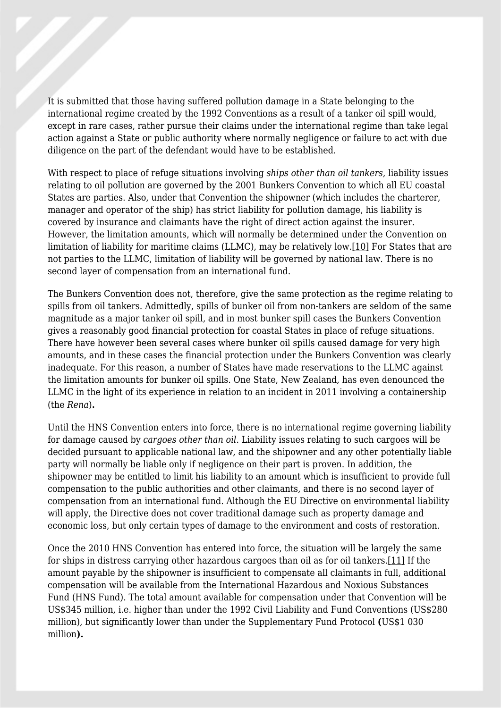It is submitted that those having suffered pollution damage in a State belonging to the international regime created by the 1992 Conventions as a result of a tanker oil spill would, except in rare cases, rather pursue their claims under the international regime than take legal action against a State or public authority where normally negligence or failure to act with due diligence on the part of the defendant would have to be established.

With respect to place of refuge situations involving *ships other than oil tankers*, liability issues relating to oil pollution are governed by the 2001 Bunkers Convention to which all EU coastal States are parties. Also, under that Convention the shipowner (which includes the charterer, manager and operator of the ship) has strict liability for pollution damage, his liability is covered by insurance and claimants have the right of direct action against the insurer. However, the limitation amounts, which will normally be determined under the Convention on limitation of liability for maritime claims (LLMC), may be relatively low[.\[10\]](#page-7-8) For States that are not parties to the LLMC, limitation of liability will be governed by national law. There is no second layer of compensation from an international fund.

<span id="page-5-0"></span>The Bunkers Convention does not, therefore, give the same protection as the regime relating to spills from oil tankers. Admittedly, spills of bunker oil from non-tankers are seldom of the same magnitude as a major tanker oil spill, and in most bunker spill cases the Bunkers Convention gives a reasonably good financial protection for coastal States in place of refuge situations. There have however been several cases where bunker oil spills caused damage for very high amounts, and in these cases the financial protection under the Bunkers Convention was clearly inadequate. For this reason, a number of States have made reservations to the LLMC against the limitation amounts for bunker oil spills. One State, New Zealand, has even denounced the LLMC in the light of its experience in relation to an incident in 2011 involving a containership (the *Rena*)**.**

Until the HNS Convention enters into force, there is no international regime governing liability for damage caused by *cargoes other than oil.* Liability issues relating to such cargoes will be decided pursuant to applicable national law, and the shipowner and any other potentially liable party will normally be liable only if negligence on their part is proven. In addition, the shipowner may be entitled to limit his liability to an amount which is insufficient to provide full compensation to the public authorities and other claimants, and there is no second layer of compensation from an international fund. Although the EU Directive on environmental liability will apply, the Directive does not cover traditional damage such as property damage and economic loss, but only certain types of damage to the environment and costs of restoration.

<span id="page-5-1"></span>Once the 2010 HNS Convention has entered into force, the situation will be largely the same for ships in distress carrying other hazardous cargoes than oil as for oil tankers.[\[11\]](#page-7-9) If the amount payable by the shipowner is insufficient to compensate all claimants in full, additional compensation will be available from the International Hazardous and Noxious Substances Fund (HNS Fund). The total amount available for compensation under that Convention will be US\$345 million, i.e. higher than under the 1992 Civil Liability and Fund Conventions (US\$280 million), but significantly lower than under the Supplementary Fund Protocol **(**US\$1 030 million**).**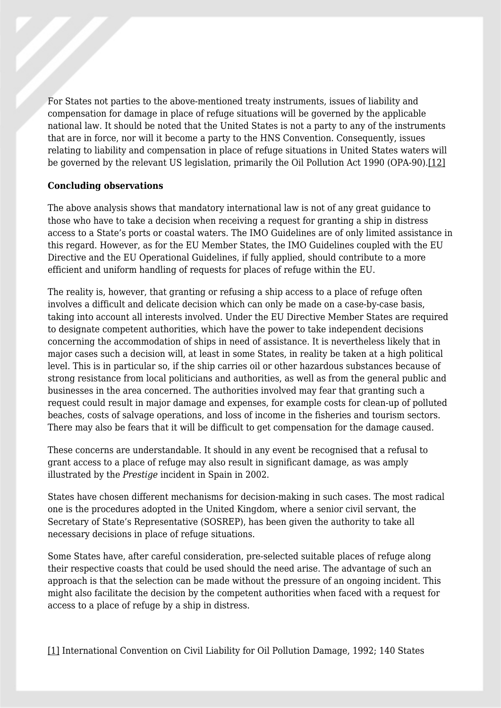For States not parties to the above-mentioned treaty instruments, issues of liability and compensation for damage in place of refuge situations will be governed by the applicable national law. It should be noted that the United States is not a party to any of the instruments that are in force, nor will it become a party to the HNS Convention. Consequently, issues relating to liability and compensation in place of refuge situations in United States waters will be governed by the relevant US legislation, primarily the Oil Pollution Act 1990 (OPA-90).[\[12\]](#page-7-10)

#### <span id="page-6-1"></span>**Concluding observations**

The above analysis shows that mandatory international law is not of any great guidance to those who have to take a decision when receiving a request for granting a ship in distress access to a State's ports or coastal waters. The IMO Guidelines are of only limited assistance in this regard. However, as for the EU Member States, the IMO Guidelines coupled with the EU Directive and the EU Operational Guidelines, if fully applied, should contribute to a more efficient and uniform handling of requests for places of refuge within the EU.

The reality is, however, that granting or refusing a ship access to a place of refuge often involves a difficult and delicate decision which can only be made on a case-by-case basis, taking into account all interests involved. Under the EU Directive Member States are required to designate competent authorities, which have the power to take independent decisions concerning the accommodation of ships in need of assistance. It is nevertheless likely that in major cases such a decision will, at least in some States, in reality be taken at a high political level. This is in particular so, if the ship carries oil or other hazardous substances because of strong resistance from local politicians and authorities, as well as from the general public and businesses in the area concerned. The authorities involved may fear that granting such a request could result in major damage and expenses, for example costs for clean-up of polluted beaches, costs of salvage operations, and loss of income in the fisheries and tourism sectors. There may also be fears that it will be difficult to get compensation for the damage caused.

These concerns are understandable. It should in any event be recognised that a refusal to grant access to a place of refuge may also result in significant damage, as was amply illustrated by the *Prestige* incident in Spain in 2002.

States have chosen different mechanisms for decision-making in such cases. The most radical one is the procedures adopted in the United Kingdom, where a senior civil servant, the Secretary of State's Representative (SOSREP), has been given the authority to take all necessary decisions in place of refuge situations.

Some States have, after careful consideration, pre-selected suitable places of refuge along their respective coasts that could be used should the need arise. The advantage of such an approach is that the selection can be made without the pressure of an ongoing incident. This might also facilitate the decision by the competent authorities when faced with a request for access to a place of refuge by a ship in distress.

<span id="page-6-0"></span>[\[1\]](#page-2-0) International Convention on Civil Liability for Oil Pollution Damage, 1992; 140 States